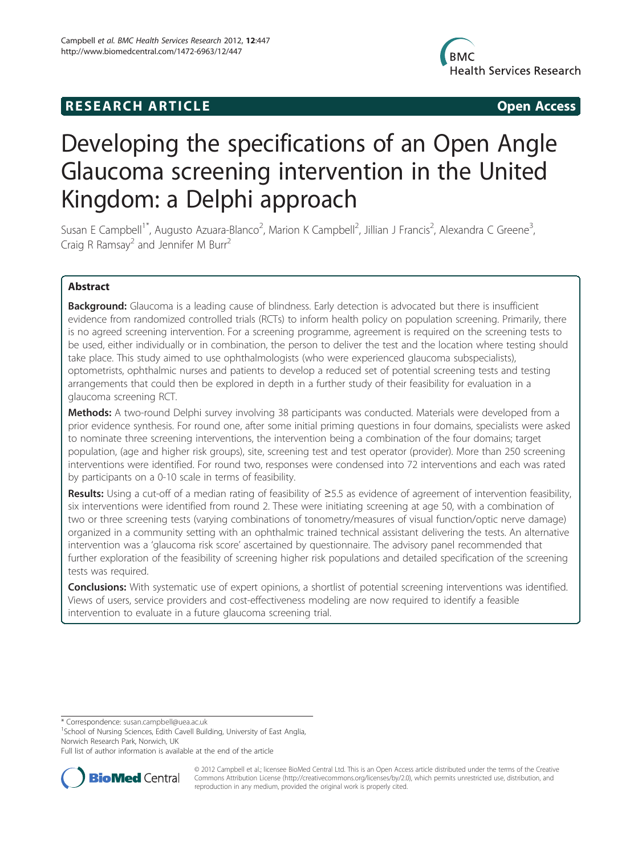## **RESEARCH ARTICLE Example 2018 12:00 Open Access**



# Developing the specifications of an Open Angle Glaucoma screening intervention in the United Kingdom: a Delphi approach

Susan E Campbell<sup>1\*</sup>, Augusto Azuara-Blanco<sup>2</sup>, Marion K Campbell<sup>2</sup>, Jillian J Francis<sup>2</sup>, Alexandra C Greene<sup>3</sup> .<br>ו Craig R Ramsay<sup>2</sup> and Jennifer M Burr<sup>2</sup>

## Abstract

Background: Glaucoma is a leading cause of blindness. Early detection is advocated but there is insufficient evidence from randomized controlled trials (RCTs) to inform health policy on population screening. Primarily, there is no agreed screening intervention. For a screening programme, agreement is required on the screening tests to be used, either individually or in combination, the person to deliver the test and the location where testing should take place. This study aimed to use ophthalmologists (who were experienced glaucoma subspecialists), optometrists, ophthalmic nurses and patients to develop a reduced set of potential screening tests and testing arrangements that could then be explored in depth in a further study of their feasibility for evaluation in a glaucoma screening RCT.

Methods: A two-round Delphi survey involving 38 participants was conducted. Materials were developed from a prior evidence synthesis. For round one, after some initial priming questions in four domains, specialists were asked to nominate three screening interventions, the intervention being a combination of the four domains; target population, (age and higher risk groups), site, screening test and test operator (provider). More than 250 screening interventions were identified. For round two, responses were condensed into 72 interventions and each was rated by participants on a 0-10 scale in terms of feasibility.

Results: Using a cut-off of a median rating of feasibility of ≥5.5 as evidence of agreement of intervention feasibility, six interventions were identified from round 2. These were initiating screening at age 50, with a combination of two or three screening tests (varying combinations of tonometry/measures of visual function/optic nerve damage) organized in a community setting with an ophthalmic trained technical assistant delivering the tests. An alternative intervention was a 'glaucoma risk score' ascertained by questionnaire. The advisory panel recommended that further exploration of the feasibility of screening higher risk populations and detailed specification of the screening tests was required.

**Conclusions:** With systematic use of expert opinions, a shortlist of potential screening interventions was identified. Views of users, service providers and cost-effectiveness modeling are now required to identify a feasible intervention to evaluate in a future glaucoma screening trial.

\* Correspondence: [susan.campbell@uea.ac.uk](mailto:susan.campbell@uea.ac.uk) <sup>1</sup>

<sup>1</sup>School of Nursing Sciences, Edith Cavell Building, University of East Anglia, Norwich Research Park, Norwich, UK

Full list of author information is available at the end of the article



© 2012 Campbell et al.; licensee BioMed Central Ltd. This is an Open Access article distributed under the terms of the Creative Commons Attribution License [\(http://creativecommons.org/licenses/by/2.0\)](http://creativecommons.org/licenses/by/2.0), which permits unrestricted use, distribution, and reproduction in any medium, provided the original work is properly cited.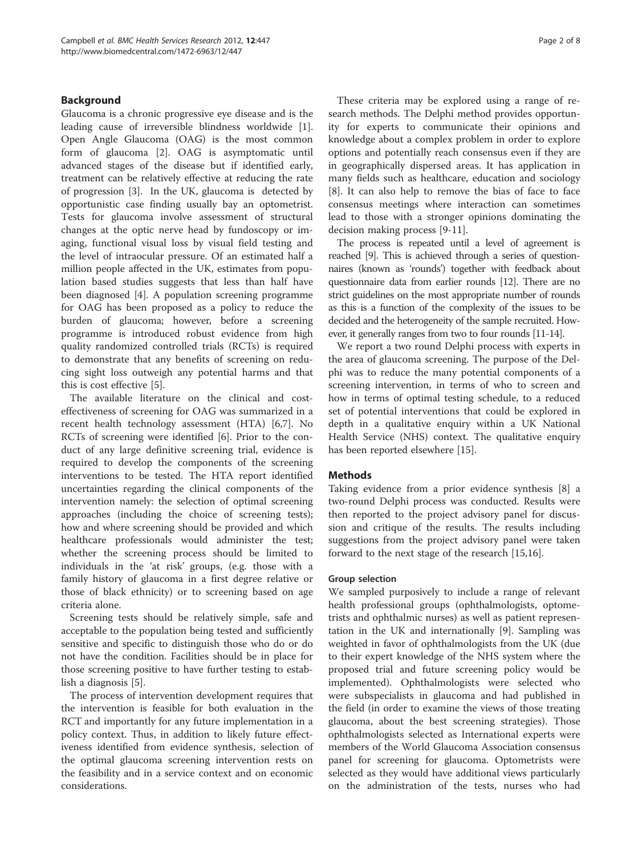## Background

Glaucoma is a chronic progressive eye disease and is the leading cause of irreversible blindness worldwide [\[1](#page-7-0)]. Open Angle Glaucoma (OAG) is the most common form of glaucoma [[2\]](#page-7-0). OAG is asymptomatic until advanced stages of the disease but if identified early, treatment can be relatively effective at reducing the rate of progression [\[3](#page-7-0)]. In the UK, glaucoma is detected by opportunistic case finding usually bay an optometrist. Tests for glaucoma involve assessment of structural changes at the optic nerve head by fundoscopy or imaging, functional visual loss by visual field testing and the level of intraocular pressure. Of an estimated half a million people affected in the UK, estimates from population based studies suggests that less than half have been diagnosed [[4\]](#page-7-0). A population screening programme for OAG has been proposed as a policy to reduce the burden of glaucoma; however, before a screening programme is introduced robust evidence from high quality randomized controlled trials (RCTs) is required to demonstrate that any benefits of screening on reducing sight loss outweigh any potential harms and that this is cost effective [[5\]](#page-7-0).

The available literature on the clinical and costeffectiveness of screening for OAG was summarized in a recent health technology assessment (HTA) [\[6,7](#page-7-0)]. No RCTs of screening were identified [\[6](#page-7-0)]. Prior to the conduct of any large definitive screening trial, evidence is required to develop the components of the screening interventions to be tested. The HTA report identified uncertainties regarding the clinical components of the intervention namely: the selection of optimal screening approaches (including the choice of screening tests); how and where screening should be provided and which healthcare professionals would administer the test; whether the screening process should be limited to individuals in the 'at risk' groups, (e.g. those with a family history of glaucoma in a first degree relative or those of black ethnicity) or to screening based on age criteria alone.

Screening tests should be relatively simple, safe and acceptable to the population being tested and sufficiently sensitive and specific to distinguish those who do or do not have the condition. Facilities should be in place for those screening positive to have further testing to establish a diagnosis [[5\]](#page-7-0).

The process of intervention development requires that the intervention is feasible for both evaluation in the RCT and importantly for any future implementation in a policy context. Thus, in addition to likely future effectiveness identified from evidence synthesis, selection of the optimal glaucoma screening intervention rests on the feasibility and in a service context and on economic considerations.

These criteria may be explored using a range of research methods. The Delphi method provides opportunity for experts to communicate their opinions and knowledge about a complex problem in order to explore options and potentially reach consensus even if they are in geographically dispersed areas. It has application in many fields such as healthcare, education and sociology [[8\]](#page-7-0). It can also help to remove the bias of face to face consensus meetings where interaction can sometimes lead to those with a stronger opinions dominating the decision making process [[9-11](#page-7-0)].

The process is repeated until a level of agreement is reached [[9](#page-7-0)]. This is achieved through a series of questionnaires (known as 'rounds') together with feedback about questionnaire data from earlier rounds [\[12](#page-7-0)]. There are no strict guidelines on the most appropriate number of rounds as this is a function of the complexity of the issues to be decided and the heterogeneity of the sample recruited. However, it generally ranges from two to four rounds [\[11](#page-7-0)-[14](#page-7-0)].

We report a two round Delphi process with experts in the area of glaucoma screening. The purpose of the Delphi was to reduce the many potential components of a screening intervention, in terms of who to screen and how in terms of optimal testing schedule, to a reduced set of potential interventions that could be explored in depth in a qualitative enquiry within a UK National Health Service (NHS) context. The qualitative enquiry has been reported elsewhere [\[15](#page-7-0)].

## Methods

Taking evidence from a prior evidence synthesis [\[8](#page-7-0)] a two-round Delphi process was conducted. Results were then reported to the project advisory panel for discussion and critique of the results. The results including suggestions from the project advisory panel were taken forward to the next stage of the research [[15](#page-7-0),[16](#page-7-0)].

## Group selection

We sampled purposively to include a range of relevant health professional groups (ophthalmologists, optometrists and ophthalmic nurses) as well as patient representation in the UK and internationally [[9](#page-7-0)]. Sampling was weighted in favor of ophthalmologists from the UK (due to their expert knowledge of the NHS system where the proposed trial and future screening policy would be implemented). Ophthalmologists were selected who were subspecialists in glaucoma and had published in the field (in order to examine the views of those treating glaucoma, about the best screening strategies). Those ophthalmologists selected as International experts were members of the World Glaucoma Association consensus panel for screening for glaucoma. Optometrists were selected as they would have additional views particularly on the administration of the tests, nurses who had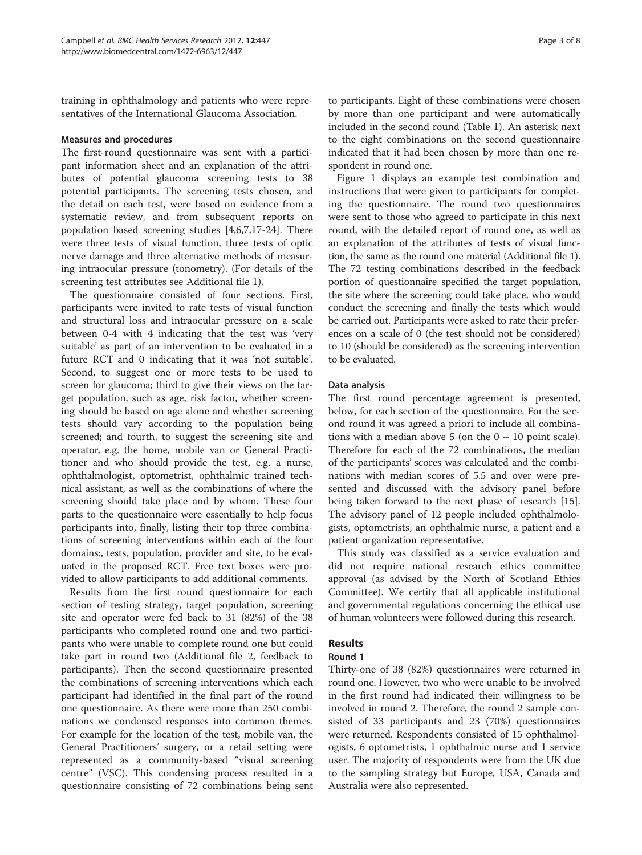training in ophthalmology and patients who were representatives of the International Glaucoma Association.

#### Measures and procedures

The first-round questionnaire was sent with a participant information sheet and an explanation of the attributes of potential glaucoma screening tests to 38 potential participants. The screening tests chosen, and the detail on each test, were based on evidence from a systematic review, and from subsequent reports on population based screening studies [\[4,6,7,17](#page-7-0)-[24](#page-7-0)]. There were three tests of visual function, three tests of optic nerve damage and three alternative methods of measuring intraocular pressure (tonometry). (For details of the screening test attributes see Additional file [1](#page-6-0)).

The questionnaire consisted of four sections. First, participants were invited to rate tests of visual function and structural loss and intraocular pressure on a scale between 0-4 with 4 indicating that the test was 'very suitable' as part of an intervention to be evaluated in a future RCT and 0 indicating that it was 'not suitable'. Second, to suggest one or more tests to be used to screen for glaucoma; third to give their views on the target population, such as age, risk factor, whether screening should be based on age alone and whether screening tests should vary according to the population being screened; and fourth, to suggest the screening site and operator, e.g. the home, mobile van or General Practitioner and who should provide the test, e.g. a nurse, ophthalmologist, optometrist, ophthalmic trained technical assistant, as well as the combinations of where the screening should take place and by whom. These four parts to the questionnaire were essentially to help focus participants into, finally, listing their top three combinations of screening interventions within each of the four domains:, tests, population, provider and site, to be evaluated in the proposed RCT. Free text boxes were provided to allow participants to add additional comments.

Results from the first round questionnaire for each section of testing strategy, target population, screening site and operator were fed back to 31 (82%) of the 38 participants who completed round one and two participants who were unable to complete round one but could take part in round two (Additional file [2,](#page-6-0) feedback to participants). Then the second questionnaire presented the combinations of screening interventions which each participant had identified in the final part of the round one questionnaire. As there were more than 250 combinations we condensed responses into common themes. For example for the location of the test, mobile van, the General Practitioners' surgery, or a retail setting were represented as a community-based "visual screening centre" (VSC). This condensing process resulted in a questionnaire consisting of 72 combinations being sent

to participants. Eight of these combinations were chosen by more than one participant and were automatically included in the second round (Table [1\)](#page-3-0). An asterisk next to the eight combinations on the second questionnaire indicated that it had been chosen by more than one respondent in round one.

Figure [1](#page-3-0) displays an example test combination and instructions that were given to participants for completing the questionnaire. The round two questionnaires were sent to those who agreed to participate in this next round, with the detailed report of round one, as well as an explanation of the attributes of tests of visual function, the same as the round one material (Additional file [1](#page-6-0)). The 72 testing combinations described in the feedback portion of questionnaire specified the target population, the site where the screening could take place, who would conduct the screening and finally the tests which would be carried out. Participants were asked to rate their preferences on a scale of 0 (the test should not be considered) to 10 (should be considered) as the screening intervention to be evaluated.

## Data analysis

The first round percentage agreement is presented, below, for each section of the questionnaire. For the second round it was agreed a priori to include all combinations with a median above  $5$  (on the  $0 - 10$  point scale). Therefore for each of the 72 combinations, the median of the participants' scores was calculated and the combinations with median scores of 5.5 and over were presented and discussed with the advisory panel before being taken forward to the next phase of research [\[15](#page-7-0)]. The advisory panel of 12 people included ophthalmologists, optometrists, an ophthalmic nurse, a patient and a patient organization representative.

This study was classified as a service evaluation and did not require national research ethics committee approval (as advised by the North of Scotland Ethics Committee). We certify that all applicable institutional and governmental regulations concerning the ethical use of human volunteers were followed during this research.

## Results

## Round 1

Thirty-one of 38 (82%) questionnaires were returned in round one. However, two who were unable to be involved in the first round had indicated their willingness to be involved in round 2. Therefore, the round 2 sample consisted of 33 participants and 23 (70%) questionnaires were returned. Respondents consisted of 15 ophthalmologists, 6 optometrists, 1 ophthalmic nurse and 1 service user. The majority of respondents were from the UK due to the sampling strategy but Europe, USA, Canada and Australia were also represented.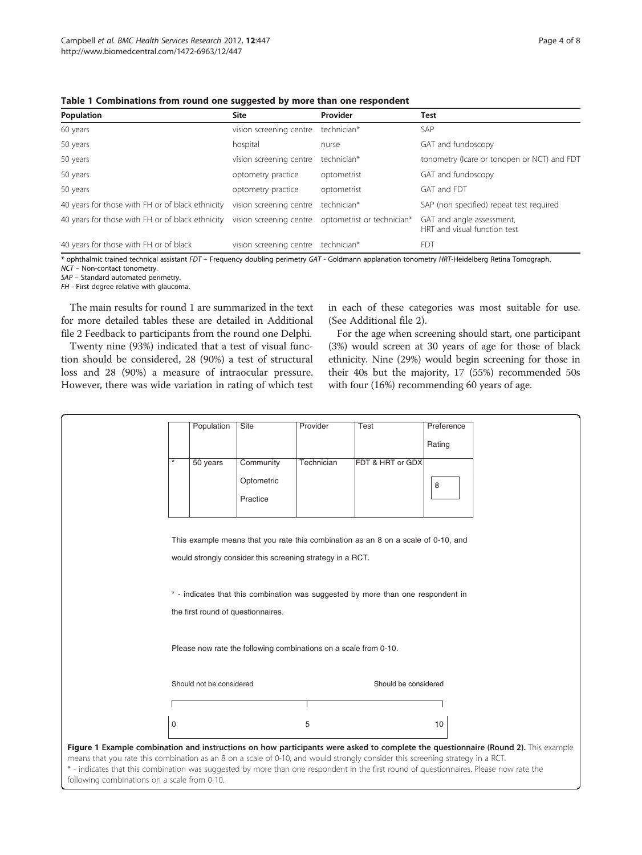<span id="page-3-0"></span>Table 1 Combinations from round one suggested by more than one respondent

| Population                                       | Site                    | Provider                                           | <b>Test</b>                                               |
|--------------------------------------------------|-------------------------|----------------------------------------------------|-----------------------------------------------------------|
| 60 years                                         | vision screening centre | technician*                                        | SAP                                                       |
| 50 years                                         | hospital                | nurse                                              | GAT and fundoscopy                                        |
| 50 years                                         | vision screening centre | technician*                                        | tonometry (Icare or tonopen or NCT) and FDT               |
| 50 years                                         | optometry practice      | optometrist                                        | GAT and fundoscopy                                        |
| 50 years                                         | optometry practice      | optometrist                                        | GAT and FDT                                               |
| 40 years for those with FH or of black ethnicity | vision screening centre | technician*                                        | SAP (non specified) repeat test required                  |
| 40 years for those with FH or of black ethnicity |                         | vision screening centre optometrist or technician* | GAT and angle assessment,<br>HRT and visual function test |
| 40 years for those with FH or of black           | vision screening centre | technician*                                        | <b>FDT</b>                                                |

\* ophthalmic trained technical assistant FDT – Frequency doubling perimetry GAT - Goldmann applanation tonometry HRT-Heidelberg Retina Tomograph.

NCT – Non-contact tonometry. SAP – Standard automated perimetry.

FH - First degree relative with glaucoma.

The main results for round 1 are summarized in the text for more detailed tables these are detailed in Additional file [2](#page-6-0) Feedback to participants from the round one Delphi.

Twenty nine (93%) indicated that a test of visual function should be considered, 28 (90%) a test of structural loss and 28 (90%) a measure of intraocular pressure. However, there was wide variation in rating of which test

in each of these categories was most suitable for use. (See Additional file [2\)](#page-6-0).

For the age when screening should start, one participant (3%) would screen at 30 years of age for those of black ethnicity. Nine (29%) would begin screening for those in their 40s but the majority, 17 (55%) recommended 50s with four (16%) recommending 60 years of age.



following combinations on a scale from 0-10.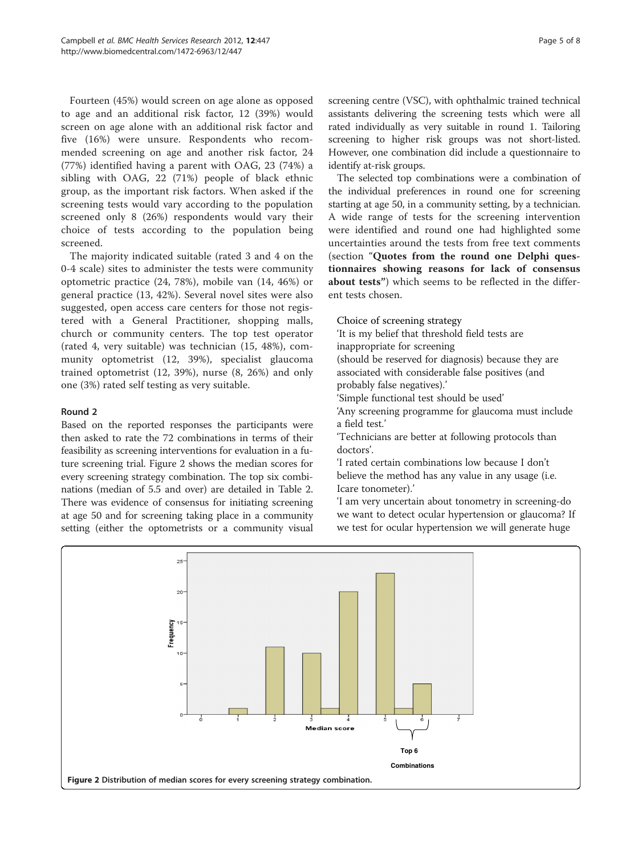Fourteen (45%) would screen on age alone as opposed to age and an additional risk factor, 12 (39%) would screen on age alone with an additional risk factor and five (16%) were unsure. Respondents who recommended screening on age and another risk factor, 24 (77%) identified having a parent with OAG, 23 (74%) a sibling with OAG, 22 (71%) people of black ethnic group, as the important risk factors. When asked if the screening tests would vary according to the population screened only 8 (26%) respondents would vary their choice of tests according to the population being screened.

The majority indicated suitable (rated 3 and 4 on the 0-4 scale) sites to administer the tests were community optometric practice (24, 78%), mobile van (14, 46%) or general practice (13, 42%). Several novel sites were also suggested, open access care centers for those not registered with a General Practitioner, shopping malls, church or community centers. The top test operator (rated 4, very suitable) was technician (15, 48%), community optometrist (12, 39%), specialist glaucoma trained optometrist (12, 39%), nurse (8, 26%) and only one (3%) rated self testing as very suitable.

## Round 2

Based on the reported responses the participants were then asked to rate the 72 combinations in terms of their feasibility as screening interventions for evaluation in a future screening trial. Figure 2 shows the median scores for every screening strategy combination. The top six combinations (median of 5.5 and over) are detailed in Table [2](#page-5-0). There was evidence of consensus for initiating screening at age 50 and for screening taking place in a community setting (either the optometrists or a community visual screening centre (VSC), with ophthalmic trained technical assistants delivering the screening tests which were all rated individually as very suitable in round 1. Tailoring screening to higher risk groups was not short-listed. However, one combination did include a questionnaire to identify at-risk groups.

The selected top combinations were a combination of the individual preferences in round one for screening starting at age 50, in a community setting, by a technician. A wide range of tests for the screening intervention were identified and round one had highlighted some uncertainties around the tests from free text comments (section "Quotes from the round one Delphi questionnaires showing reasons for lack of consensus about tests") which seems to be reflected in the different tests chosen.

Choice of screening strategy

'It is my belief that threshold field tests are

inappropriate for screening

(should be reserved for diagnosis) because they are associated with considerable false positives (and probably false negatives).'

'Simple functional test should be used'

'Any screening programme for glaucoma must include a field test.'

'Technicians are better at following protocols than doctors'.

'I rated certain combinations low because I don't believe the method has any value in any usage (i.e. Icare tonometer).'

'I am very uncertain about tonometry in screening-do we want to detect ocular hypertension or glaucoma? If we test for ocular hypertension we will generate huge

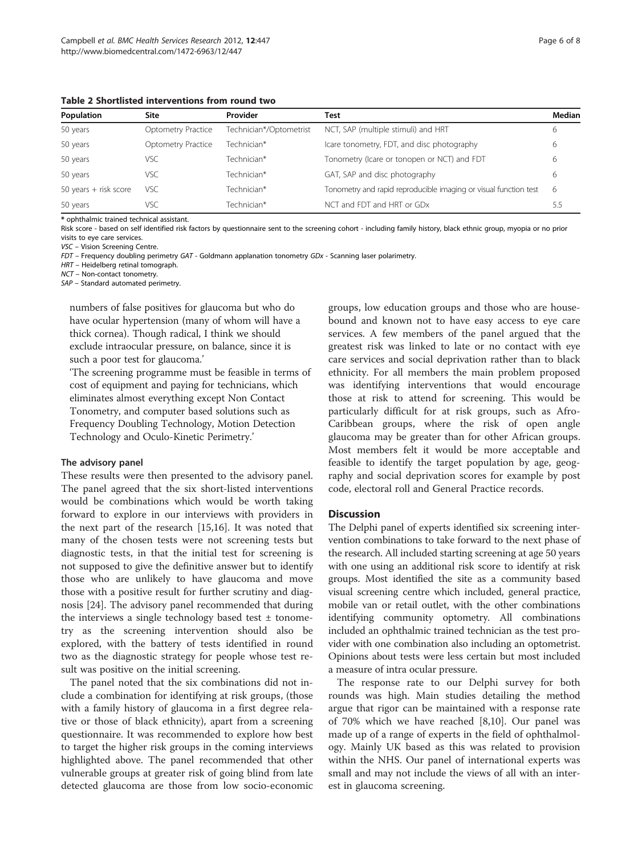<span id="page-5-0"></span>Table 2 Shortlisted interventions from round two

| Population                     | Site               | Provider                | Test                                                             |   |
|--------------------------------|--------------------|-------------------------|------------------------------------------------------------------|---|
| Optometry Practice<br>50 years |                    | Technician*/Optometrist | NCT, SAP (multiple stimuli) and HRT                              | 6 |
| 50 years                       | Optometry Practice | Technician*             | Icare tonometry, FDT, and disc photography                       |   |
| 50 years                       | VSC                | Technician*             | Tonometry (Icare or tonopen or NCT) and FDT                      |   |
| 50 years                       | vsc                | Technician*             | GAT, SAP and disc photography                                    |   |
| 50 years + risk score          | VSC                | Technician*             | Tonometry and rapid reproducible imaging or visual function test |   |
| 50 years                       | vsc                | Technician*             | NCT and FDT and HRT or GDx                                       |   |

\* ophthalmic trained technical assistant.

Risk score - based on self identified risk factors by questionnaire sent to the screening cohort - including family history, black ethnic group, myopia or no prior visits to eye care services.

VSC – Vision Screening Centre.

FDT – Frequency doubling perimetry GAT - Goldmann applanation tonometry GDx - Scanning laser polarimetry.

HRT – Heidelberg retinal tomograph.

NCT – Non-contact tonometry.

SAP – Standard automated perimetry.

numbers of false positives for glaucoma but who do have ocular hypertension (many of whom will have a thick cornea). Though radical, I think we should exclude intraocular pressure, on balance, since it is such a poor test for glaucoma.'

'The screening programme must be feasible in terms of cost of equipment and paying for technicians, which eliminates almost everything except Non Contact Tonometry, and computer based solutions such as Frequency Doubling Technology, Motion Detection Technology and Oculo-Kinetic Perimetry.'

#### The advisory panel

These results were then presented to the advisory panel. The panel agreed that the six short-listed interventions would be combinations which would be worth taking forward to explore in our interviews with providers in the next part of the research [\[15,16](#page-7-0)]. It was noted that many of the chosen tests were not screening tests but diagnostic tests, in that the initial test for screening is not supposed to give the definitive answer but to identify those who are unlikely to have glaucoma and move those with a positive result for further scrutiny and diagnosis [[24](#page-7-0)]. The advisory panel recommended that during the interviews a single technology based test  $\pm$  tonometry as the screening intervention should also be explored, with the battery of tests identified in round two as the diagnostic strategy for people whose test result was positive on the initial screening.

The panel noted that the six combinations did not include a combination for identifying at risk groups, (those with a family history of glaucoma in a first degree relative or those of black ethnicity), apart from a screening questionnaire. It was recommended to explore how best to target the higher risk groups in the coming interviews highlighted above. The panel recommended that other vulnerable groups at greater risk of going blind from late detected glaucoma are those from low socio-economic groups, low education groups and those who are housebound and known not to have easy access to eye care services. A few members of the panel argued that the greatest risk was linked to late or no contact with eye care services and social deprivation rather than to black ethnicity. For all members the main problem proposed was identifying interventions that would encourage those at risk to attend for screening. This would be particularly difficult for at risk groups, such as Afro-Caribbean groups, where the risk of open angle glaucoma may be greater than for other African groups. Most members felt it would be more acceptable and feasible to identify the target population by age, geography and social deprivation scores for example by post code, electoral roll and General Practice records.

## **Discussion**

The Delphi panel of experts identified six screening intervention combinations to take forward to the next phase of the research. All included starting screening at age 50 years with one using an additional risk score to identify at risk groups. Most identified the site as a community based visual screening centre which included, general practice, mobile van or retail outlet, with the other combinations identifying community optometry. All combinations included an ophthalmic trained technician as the test provider with one combination also including an optometrist. Opinions about tests were less certain but most included a measure of intra ocular pressure.

The response rate to our Delphi survey for both rounds was high. Main studies detailing the method argue that rigor can be maintained with a response rate of 70% which we have reached [[8,10\]](#page-7-0). Our panel was made up of a range of experts in the field of ophthalmology. Mainly UK based as this was related to provision within the NHS. Our panel of international experts was small and may not include the views of all with an interest in glaucoma screening.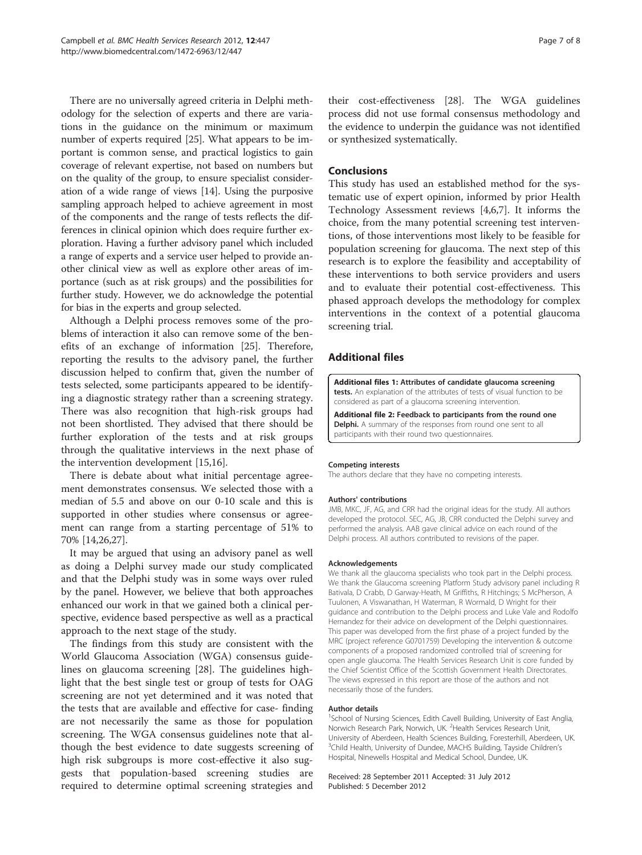<span id="page-6-0"></span>There are no universally agreed criteria in Delphi methodology for the selection of experts and there are variations in the guidance on the minimum or maximum number of experts required [[25\]](#page-7-0). What appears to be important is common sense, and practical logistics to gain coverage of relevant expertise, not based on numbers but on the quality of the group, to ensure specialist consideration of a wide range of views [[14](#page-7-0)]. Using the purposive sampling approach helped to achieve agreement in most of the components and the range of tests reflects the differences in clinical opinion which does require further exploration. Having a further advisory panel which included a range of experts and a service user helped to provide another clinical view as well as explore other areas of importance (such as at risk groups) and the possibilities for further study. However, we do acknowledge the potential for bias in the experts and group selected.

Although a Delphi process removes some of the problems of interaction it also can remove some of the benefits of an exchange of information [[25](#page-7-0)]. Therefore, reporting the results to the advisory panel, the further discussion helped to confirm that, given the number of tests selected, some participants appeared to be identifying a diagnostic strategy rather than a screening strategy. There was also recognition that high-risk groups had not been shortlisted. They advised that there should be further exploration of the tests and at risk groups through the qualitative interviews in the next phase of the intervention development [\[15,16](#page-7-0)].

There is debate about what initial percentage agreement demonstrates consensus. We selected those with a median of 5.5 and above on our 0-10 scale and this is supported in other studies where consensus or agreement can range from a starting percentage of 51% to 70% [\[14,26,27](#page-7-0)].

It may be argued that using an advisory panel as well as doing a Delphi survey made our study complicated and that the Delphi study was in some ways over ruled by the panel. However, we believe that both approaches enhanced our work in that we gained both a clinical perspective, evidence based perspective as well as a practical approach to the next stage of the study.

The findings from this study are consistent with the World Glaucoma Association (WGA) consensus guidelines on glaucoma screening [\[28\]](#page-7-0). The guidelines highlight that the best single test or group of tests for OAG screening are not yet determined and it was noted that the tests that are available and effective for case- finding are not necessarily the same as those for population screening. The WGA consensus guidelines note that although the best evidence to date suggests screening of high risk subgroups is more cost-effective it also suggests that population-based screening studies are required to determine optimal screening strategies and

their cost-effectiveness [[28](#page-7-0)]. The WGA guidelines process did not use formal consensus methodology and the evidence to underpin the guidance was not identified or synthesized systematically.

## **Conclusions**

This study has used an established method for the systematic use of expert opinion, informed by prior Health Technology Assessment reviews [[4,6,7\]](#page-7-0). It informs the choice, from the many potential screening test interventions, of those interventions most likely to be feasible for population screening for glaucoma. The next step of this research is to explore the feasibility and acceptability of these interventions to both service providers and users and to evaluate their potential cost-effectiveness. This phased approach develops the methodology for complex interventions in the context of a potential glaucoma screening trial.

## Additional files

[Additional files 1:](http://www.biomedcentral.com/content/supplementary/1472-6963-12-447-S1.pdf) Attributes of candidate glaucoma screening tests. An explanation of the attributes of tests of visual function to be considered as part of a glaucoma screening intervention.

[Additional file 2:](http://www.biomedcentral.com/content/supplementary/1472-6963-12-447-S2.pdf) Feedback to participants from the round one Delphi. A summary of the responses from round one sent to all participants with their round two questionnaires.

#### Competing interests

The authors declare that they have no competing interests.

#### Authors' contributions

JMB, MKC, JF, AG, and CRR had the original ideas for the study. All authors developed the protocol. SEC, AG, JB, CRR conducted the Delphi survey and performed the analysis. AAB gave clinical advice on each round of the Delphi process. All authors contributed to revisions of the paper.

#### Acknowledgements

We thank all the glaucoma specialists who took part in the Delphi process. We thank the Glaucoma screening Platform Study advisory panel including R Bativala, D Crabb, D Garway-Heath, M Griffiths, R Hitchings; S McPherson, A Tuulonen, A Viswanathan, H Waterman, R Wormald, D Wright for their guidance and contribution to the Delphi process and Luke Vale and Rodolfo Hernandez for their advice on development of the Delphi questionnaires. This paper was developed from the first phase of a project funded by the MRC (project reference G0701759) Developing the intervention & outcome components of a proposed randomized controlled trial of screening for open angle glaucoma. The Health Services Research Unit is core funded by the Chief Scientist Office of the Scottish Government Health Directorates. The views expressed in this report are those of the authors and not necessarily those of the funders.

#### Author details

<sup>1</sup>School of Nursing Sciences, Edith Cavell Building, University of East Anglia, Norwich Research Park, Norwich, UK. <sup>2</sup> Health Services Research Unit University of Aberdeen, Health Sciences Building, Foresterhill, Aberdeen, UK. <sup>3</sup>Child Health, University of Dundee, MACHS Building, Tayside Children's Hospital, Ninewells Hospital and Medical School, Dundee, UK.

Received: 28 September 2011 Accepted: 31 July 2012 Published: 5 December 2012